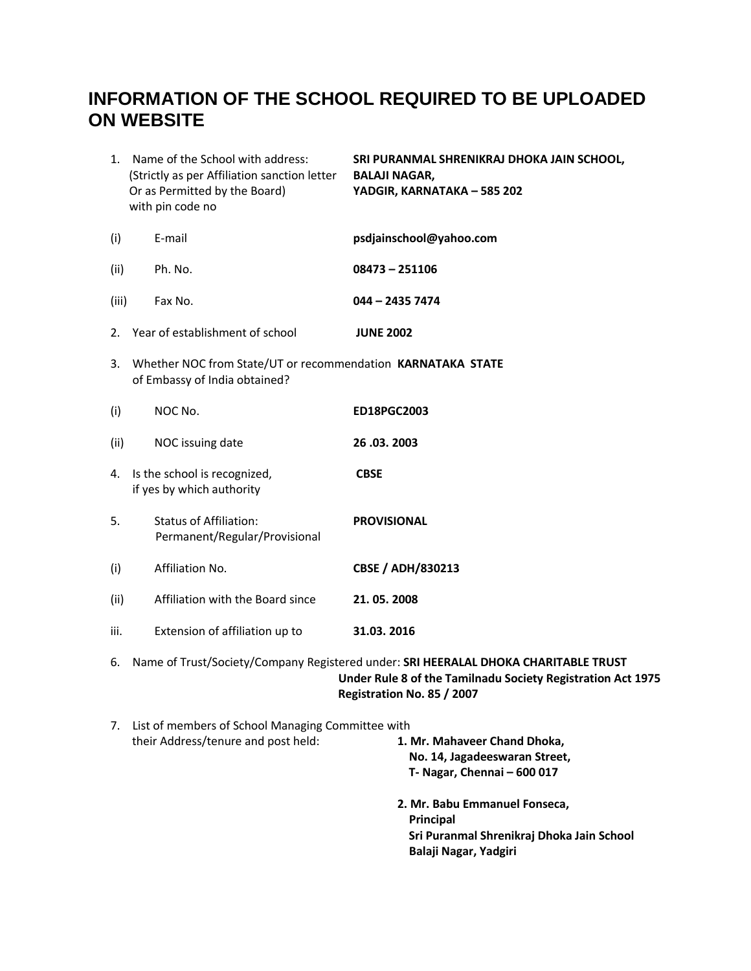# **INFORMATION OF THE SCHOOL REQUIRED TO BE UPLOADED ON WEBSITE**

|       | 1. Name of the School with address:<br>(Strictly as per Affiliation sanction letter<br>Or as Permitted by the Board)<br>with pin code no | SRI PURANMAL SHRENIKRAJ DHOKA JAIN SCHOOL,<br><b>BALAJI NAGAR,</b><br>YADGIR, KARNATAKA - 585 202                                                                                |
|-------|------------------------------------------------------------------------------------------------------------------------------------------|----------------------------------------------------------------------------------------------------------------------------------------------------------------------------------|
| (i)   | E-mail                                                                                                                                   | psdjainschool@yahoo.com                                                                                                                                                          |
| (ii)  | Ph. No.                                                                                                                                  | $08473 - 251106$                                                                                                                                                                 |
| (iii) | Fax No.                                                                                                                                  | 044 - 2435 7474                                                                                                                                                                  |
|       | 2. Year of establishment of school                                                                                                       | <b>JUNE 2002</b>                                                                                                                                                                 |
| 3.    | Whether NOC from State/UT or recommendation KARNATAKA STATE<br>of Embassy of India obtained?                                             |                                                                                                                                                                                  |
| (i)   | NOC No.                                                                                                                                  | ED18PGC2003                                                                                                                                                                      |
| (ii)  | NOC issuing date                                                                                                                         | 26.03.2003                                                                                                                                                                       |
| 4.    | Is the school is recognized,<br>if yes by which authority                                                                                | <b>CBSE</b>                                                                                                                                                                      |
| 5.    | <b>Status of Affiliation:</b><br>Permanent/Regular/Provisional                                                                           | <b>PROVISIONAL</b>                                                                                                                                                               |
| (i)   | Affiliation No.                                                                                                                          | <b>CBSE / ADH/830213</b>                                                                                                                                                         |
| (ii)  | Affiliation with the Board since                                                                                                         | 21.05.2008                                                                                                                                                                       |
| iii.  | Extension of affiliation up to                                                                                                           | 31.03.2016                                                                                                                                                                       |
| 6.    |                                                                                                                                          | Name of Trust/Society/Company Registered under: SRI HEERALAL DHOKA CHARITABLE TRUST<br>Under Rule 8 of the Tamilnadu Society Registration Act 1975<br>Registration No. 85 / 2007 |
|       | 7. List of members of School Managing Committee with<br>their Address/tenure and post held:                                              | 1. Mr. Mahaveer Chand Dhoka,<br>No. 14, Jagadeeswaran Street,                                                                                                                    |

- **T- Nagar, Chennai – 600 017**
- **2. Mr. Babu Emmanuel Fonseca, Principal Sri Puranmal Shrenikraj Dhoka Jain School Balaji Nagar, Yadgiri**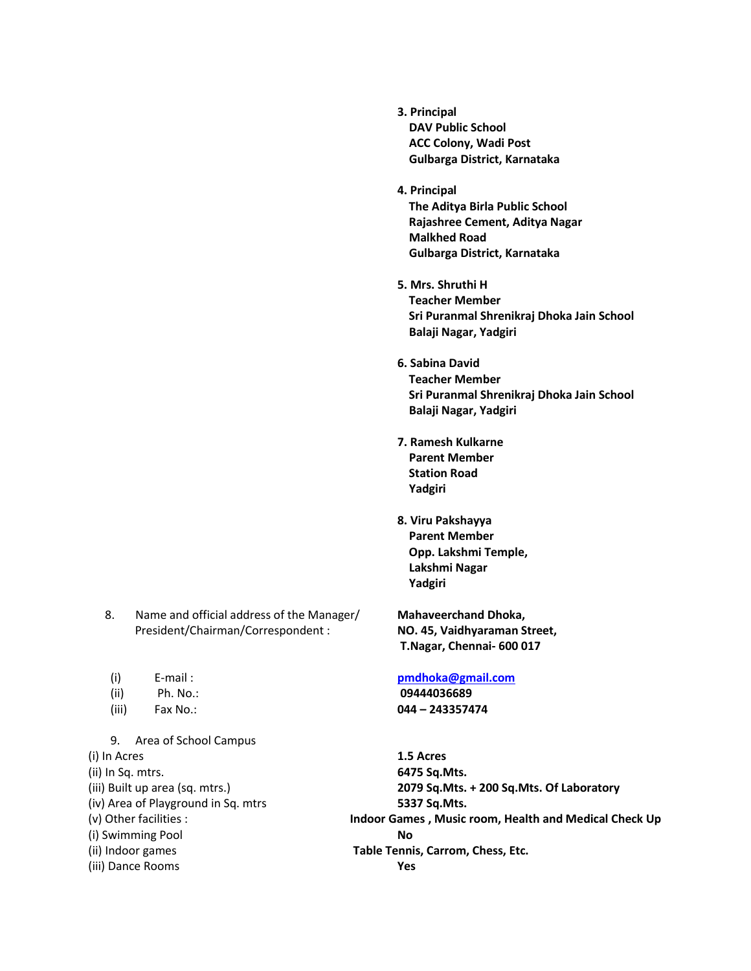- **3. Principal DAV Public School ACC Colony, Wadi Post Gulbarga District, Karnataka**
- **4. Principal The Aditya Birla Public School Rajashree Cement, Aditya Nagar Malkhed Road Gulbarga District, Karnataka**
- **5. Mrs. Shruthi H Teacher Member Sri Puranmal Shrenikraj Dhoka Jain School Balaji Nagar, Yadgiri**
- **6. Sabina David Teacher Member Sri Puranmal Shrenikraj Dhoka Jain School Balaji Nagar, Yadgiri**
- **7. Ramesh Kulkarne Parent Member Station Road Yadgiri**
- **8. Viru Pakshayya Parent Member Opp. Lakshmi Temple, Lakshmi Nagar Yadgiri**

**T.Nagar, Chennai- 600 017**

### (i) E-mail : **[pmdhoka@gmail.com](mailto:pmdhoka@gmail.com)**

(iii) Fax No.: **044 – 243357474**

(i) In Acres **1.5 Acres** (ii) In Sq. mtrs. **6475 Sq.Mts.** (iii) Built up area (sq. mtrs.) **2079 Sq.Mts. + 200 Sq.Mts. Of Laboratory** (iv) Area of Playground in Sq. mtrs **5337 Sq.Mts.** (v) Other facilities : **Indoor Games , Music room, Health and Medical Check Up** (i) Swimming Pool **No** (ii) Indoor games **Table Tennis, Carrom, Chess, Etc.** (iii) Dance Rooms **Yes**

- 8. Name and official address of the Manager/ **Mahaveerchand Dhoka,** President/Chairman/Correspondent : **NO. 45, Vaidhyaraman Street,**
- 
- (ii) Ph. No.: **09444036689**
- 

# 9. Area of School Campus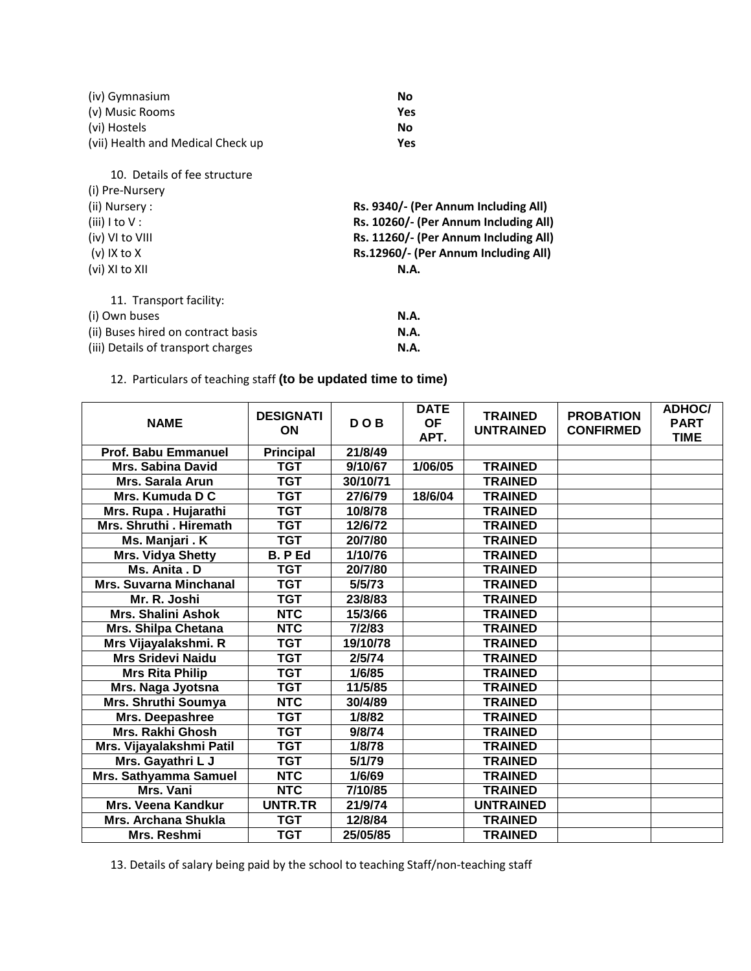| (iv) Gymnasium                     | <b>No</b>                             |  |  |  |  |  |
|------------------------------------|---------------------------------------|--|--|--|--|--|
| (v) Music Rooms                    | Yes                                   |  |  |  |  |  |
| (vi) Hostels                       | <b>No</b>                             |  |  |  |  |  |
| (vii) Health and Medical Check up  | Yes                                   |  |  |  |  |  |
| 10. Details of fee structure       |                                       |  |  |  |  |  |
| (i) Pre-Nursery                    |                                       |  |  |  |  |  |
| (ii) Nursery :                     | Rs. 9340/- (Per Annum Including All)  |  |  |  |  |  |
| (iii) $1$ to $V$ :                 | Rs. 10260/- (Per Annum Including All) |  |  |  |  |  |
| (iv) VI to VIII                    | Rs. 11260/- (Per Annum Including All) |  |  |  |  |  |
| $(v)$ IX to X                      | Rs.12960/- (Per Annum Including All)  |  |  |  |  |  |
| (vi) XI to XII                     | <b>N.A.</b>                           |  |  |  |  |  |
| 11. Transport facility:            |                                       |  |  |  |  |  |
| (i) Own buses                      | N.A.                                  |  |  |  |  |  |
| (ii) Buses hired on contract basis | <b>N.A.</b>                           |  |  |  |  |  |
| (iii) Details of transport charges | <b>N.A.</b>                           |  |  |  |  |  |

12. Particulars of teaching staff **(to be updated time to time)**

| <b>NAME</b>                   | <b>DESIGNATI</b><br>ON | <b>DOB</b> | <b>DATE</b><br><b>OF</b><br>APT. | <b>TRAINED</b><br><b>UNTRAINED</b> | <b>PROBATION</b><br><b>CONFIRMED</b> | <b>ADHOC/</b><br><b>PART</b><br><b>TIME</b> |
|-------------------------------|------------------------|------------|----------------------------------|------------------------------------|--------------------------------------|---------------------------------------------|
| Prof. Babu Emmanuel           | <b>Principal</b>       | 21/8/49    |                                  |                                    |                                      |                                             |
| <b>Mrs. Sabina David</b>      | <b>TGT</b>             | 9/10/67    | 1/06/05                          | <b>TRAINED</b>                     |                                      |                                             |
| <b>Mrs. Sarala Arun</b>       | <b>TGT</b>             | 30/10/71   |                                  | <b>TRAINED</b>                     |                                      |                                             |
| Mrs. Kumuda D C               | <b>TGT</b>             | 27/6/79    | 18/6/04                          | <b>TRAINED</b>                     |                                      |                                             |
| Mrs. Rupa . Hujarathi         | <b>TGT</b>             | 10/8/78    |                                  | <b>TRAINED</b>                     |                                      |                                             |
| Mrs. Shruthi . Hiremath       | <b>TGT</b>             | 12/6/72    |                                  | <b>TRAINED</b>                     |                                      |                                             |
| Ms. Manjari . K               | <b>TGT</b>             | 20/7/80    |                                  | <b>TRAINED</b>                     |                                      |                                             |
| Mrs. Vidya Shetty             | B. P Ed                | 1/10/76    |                                  | <b>TRAINED</b>                     |                                      |                                             |
| Ms. Anita . D                 | <b>TGT</b>             | 20/7/80    |                                  | <b>TRAINED</b>                     |                                      |                                             |
| <b>Mrs. Suvarna Minchanal</b> | <b>TGT</b>             | 5/5/73     |                                  | <b>TRAINED</b>                     |                                      |                                             |
| Mr. R. Joshi                  | <b>TGT</b>             | 23/8/83    |                                  | <b>TRAINED</b>                     |                                      |                                             |
| <b>Mrs. Shalini Ashok</b>     | <b>NTC</b>             | 15/3/66    |                                  | <b>TRAINED</b>                     |                                      |                                             |
| Mrs. Shilpa Chetana           | <b>NTC</b>             | 7/2/83     |                                  | <b>TRAINED</b>                     |                                      |                                             |
| Mrs Vijayalakshmi. R          | <b>TGT</b>             | 19/10/78   |                                  | <b>TRAINED</b>                     |                                      |                                             |
| <b>Mrs Sridevi Naidu</b>      | <b>TGT</b>             | 2/5/74     |                                  | <b>TRAINED</b>                     |                                      |                                             |
| <b>Mrs Rita Philip</b>        | <b>TGT</b>             | 1/6/85     |                                  | <b>TRAINED</b>                     |                                      |                                             |
| Mrs. Naga Jyotsna             | <b>TGT</b>             | 11/5/85    |                                  | <b>TRAINED</b>                     |                                      |                                             |
| Mrs. Shruthi Soumya           | <b>NTC</b>             | 30/4/89    |                                  | <b>TRAINED</b>                     |                                      |                                             |
| Mrs. Deepashree               | <b>TGT</b>             | 1/8/82     |                                  | <b>TRAINED</b>                     |                                      |                                             |
| Mrs. Rakhi Ghosh              | <b>TGT</b>             | 9/8/74     |                                  | <b>TRAINED</b>                     |                                      |                                             |
| Mrs. Vijayalakshmi Patil      | <b>TGT</b>             | 1/8/78     |                                  | <b>TRAINED</b>                     |                                      |                                             |
| Mrs. Gayathri L J             | <b>TGT</b>             | 5/1/79     |                                  | <b>TRAINED</b>                     |                                      |                                             |
| Mrs. Sathyamma Samuel         | <b>NTC</b>             | 1/6/69     |                                  | <b>TRAINED</b>                     |                                      |                                             |
| Mrs. Vani                     | <b>NTC</b>             | 7/10/85    |                                  | <b>TRAINED</b>                     |                                      |                                             |
| <b>Mrs. Veena Kandkur</b>     | <b>UNTR.TR</b>         | 21/9/74    |                                  | <b>UNTRAINED</b>                   |                                      |                                             |
| <b>Mrs. Archana Shukla</b>    | <b>TGT</b>             | 12/8/84    |                                  | <b>TRAINED</b>                     |                                      |                                             |
| Mrs. Reshmi                   | <b>TGT</b>             | 25/05/85   |                                  | <b>TRAINED</b>                     |                                      |                                             |

13. Details of salary being paid by the school to teaching Staff/non-teaching staff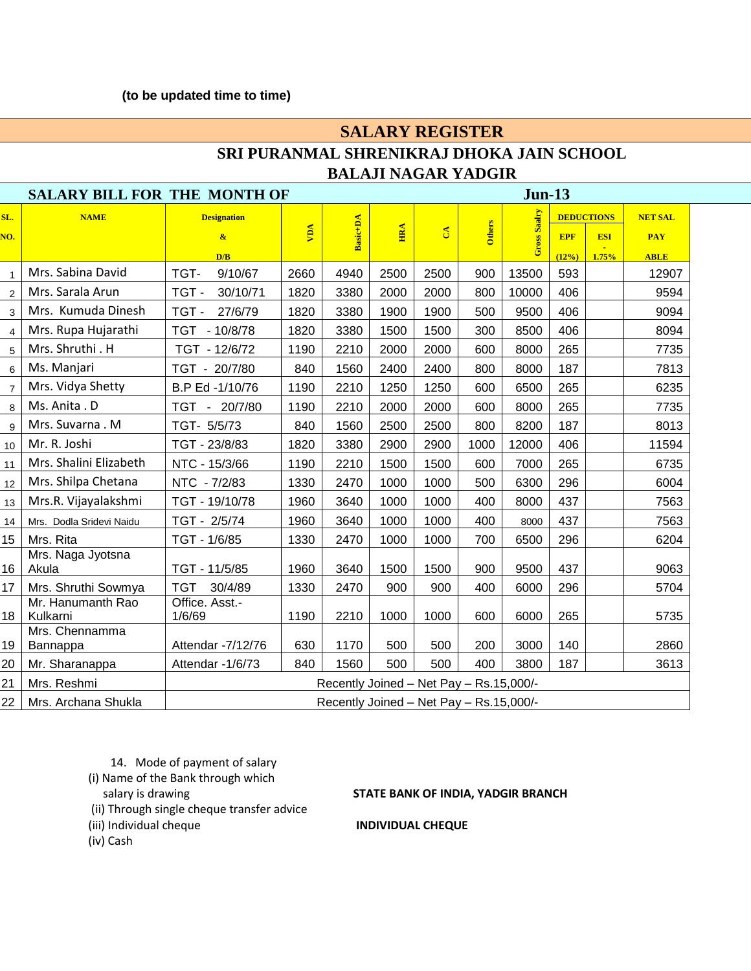### **(to be updated time to time)**

## **SALARY REGISTER SRI PURANMAL SHRENIKRAJ DHOKA JAIN SCHOOL BALAJI NAGAR YADGIR**

| <b>SALARY BILL FOR THE MONTH OF</b> |                               |                                         |      |          | $Jun-13$ |          |        |              |            |                   |                |
|-------------------------------------|-------------------------------|-----------------------------------------|------|----------|----------|----------|--------|--------------|------------|-------------------|----------------|
| SL.                                 | <b>NAME</b>                   | <b>Designation</b>                      |      |          |          |          |        |              |            | <b>DEDUCTIONS</b> | <b>NET SAL</b> |
| NO.                                 |                               | $\mathbf{\alpha}$                       | yny  | Basic+DA | ERA      | $\delta$ | Others | Gross Saalry | <b>EPF</b> | <b>ESI</b>        | <b>PAY</b>     |
|                                     |                               | D/B                                     |      |          |          |          |        |              | (12%)      | 1.75%             | <b>ABLE</b>    |
|                                     | Mrs. Sabina David             | TGT-<br>9/10/67                         | 2660 | 4940     | 2500     | 2500     | 900    | 13500        | 593        |                   | 12907          |
|                                     | Mrs. Sarala Arun              | TGT-<br>30/10/71                        | 1820 | 3380     | 2000     | 2000     | 800    | 10000        | 406        |                   | 9594           |
| 3                                   | Mrs. Kumuda Dinesh            | TGT-<br>27/6/79                         | 1820 | 3380     | 1900     | 1900     | 500    | 9500         | 406        |                   | 9094           |
| 4                                   | Mrs. Rupa Hujarathi           | TGT - 10/8/78                           | 1820 | 3380     | 1500     | 1500     | 300    | 8500         | 406        |                   | 8094           |
| 5                                   | Mrs. Shruthi. H               | TGT - 12/6/72                           | 1190 | 2210     | 2000     | 2000     | 600    | 8000         | 265        |                   | 7735           |
| 6                                   | Ms. Manjari                   | TGT - 20/7/80                           | 840  | 1560     | 2400     | 2400     | 800    | 8000         | 187        |                   | 7813           |
| $\overline{7}$                      | Mrs. Vidya Shetty             | B.P Ed -1/10/76                         | 1190 | 2210     | 1250     | 1250     | 600    | 6500         | 265        |                   | 6235           |
|                                     | 8   Ms. Anita . D             | TGT - 20/7/80                           | 1190 | 2210     | 2000     | 2000     | 600    | 8000         | 265        |                   | 7735           |
| 9                                   | Mrs. Suvarna . M              | TGT- 5/5/73                             | 840  | 1560     | 2500     | 2500     | 800    | 8200         | 187        |                   | 8013           |
| 10                                  | Mr. R. Joshi                  | TGT - 23/8/83                           | 1820 | 3380     | 2900     | 2900     | 1000   | 12000        | 406        |                   | 11594          |
| 11                                  | Mrs. Shalini Elizabeth        | NTC - 15/3/66                           | 1190 | 2210     | 1500     | 1500     | 600    | 7000         | 265        |                   | 6735           |
| 12                                  | Mrs. Shilpa Chetana           | NTC - 7/2/83                            | 1330 | 2470     | 1000     | 1000     | 500    | 6300         | 296        |                   | 6004           |
| 13                                  | Mrs.R. Vijayalakshmi          | TGT - 19/10/78                          | 1960 | 3640     | 1000     | 1000     | 400    | 8000         | 437        |                   | 7563           |
| 14                                  | Mrs. Dodla Sridevi Naidu      | TGT - 2/5/74                            | 1960 | 3640     | 1000     | 1000     | 400    | 8000         | 437        |                   | 7563           |
| 15 <sub>1</sub>                     | Mrs. Rita                     | TGT - 1/6/85                            | 1330 | 2470     | 1000     | 1000     | 700    | 6500         | 296        |                   | 6204           |
| 16                                  | Mrs. Naga Jyotsna<br>Akula    | TGT - 11/5/85                           | 1960 | 3640     | 1500     | 1500     | 900    | 9500         | 437        |                   | 9063           |
| 17 <sub>1</sub>                     | Mrs. Shruthi Sowmya           | TGT 30/4/89                             | 1330 | 2470     | 900      | 900      | 400    | 6000         | 296        |                   | 5704           |
| 18                                  | Mr. Hanumanth Rao<br>Kulkarni | Office. Asst.-<br>1/6/69                | 1190 | 2210     | 1000     | 1000     | 600    | 6000         | 265        |                   | 5735           |
| 19                                  | Mrs. Chennamma<br>Bannappa    | Attendar -7/12/76                       | 630  | 1170     | 500      | 500      | 200    | 3000         | 140        |                   | 2860           |
| 20                                  | Mr. Sharanappa                | Attendar -1/6/73                        | 840  | 1560     | 500      | 500      | 400    | 3800         | 187        |                   | 3613           |
| 21                                  | Mrs. Reshmi                   | Recently Joined - Net Pay - Rs.15,000/- |      |          |          |          |        |              |            |                   |                |
| 22                                  | Mrs. Archana Shukla           | Recently Joined - Net Pay - Rs.15,000/- |      |          |          |          |        |              |            |                   |                |

14. Mode of payment of salary (i) Name of the Bank through which

(ii) Through single cheque transfer advice

### salary is drawing **STATE BANK OF INDIA, YADGIR BRANCH**

(iv) Cash

(iii) Individual cheque **INDIVIDUAL CHEQUE**